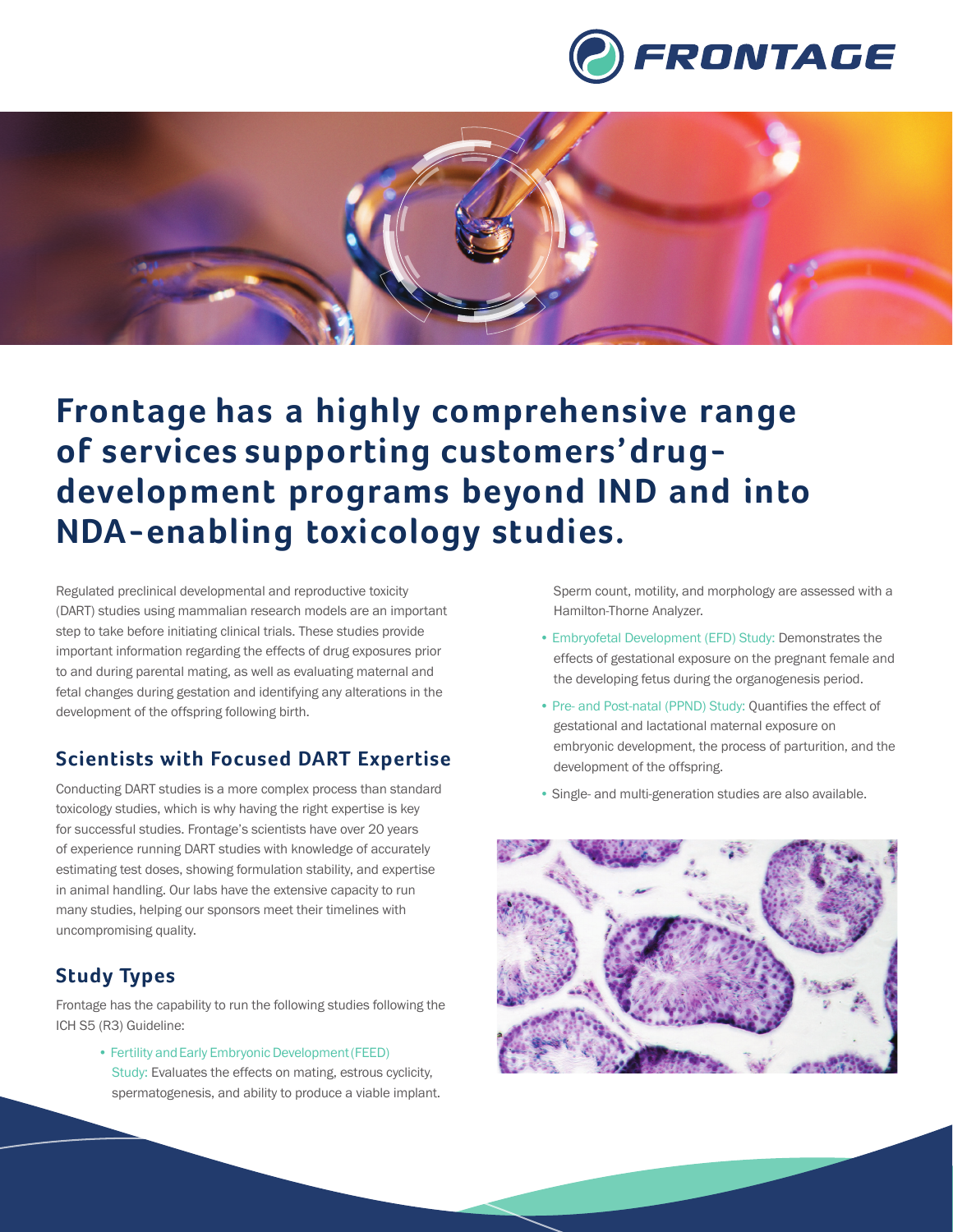



# **Frontage has a highly comprehensive range of services supporting customers'drugdevelopment programs beyond IND and into NDA-enabling toxicology studies.**

Regulated preclinical developmental and reproductive toxicity (DART) studies using mammalian research models are an important step to take before initiating clinical trials. These studies provide important information regarding the effects of drug exposures prior to and during parental mating, as well as evaluating maternal and fetal changes during gestation and identifying any alterations in the development of the offspring following birth.

#### **Scientists with Focused DART Expertise**

Conducting DART studies is a more complex process than standard toxicology studies, which is why having the right expertise is key for successful studies. Frontage's scientists have over 20 years of experience running DART studies with knowledge of accurately estimating test doses, showing formulation stability, and expertise in animal handling. Our labs have the extensive capacity to run many studies, helping our sponsors meet their timelines with uncompromising quality.

### **Study Types**

Frontage has the capability to run the following studies following the ICH S5 (R3) Guideline:

> • Fertility and Early Embryonic Development (FEED) Study: Evaluates the effects on mating, estrous cyclicity, spermatogenesis, and ability to produce a viable implant.

Sperm count, motility, and morphology are assessed with a Hamilton-Thorne Analyzer.

- Embryofetal Development (EFD) Study: Demonstrates the effects of gestational exposure on the pregnant female and the developing fetus during the organogenesis period.
- Pre- and Post-natal (PPND) Study: Quantifies the effect of gestational and lactational maternal exposure on embryonic development, the process of parturition, and the development of the offspring.
- Single- and multi-generation studies are also available.